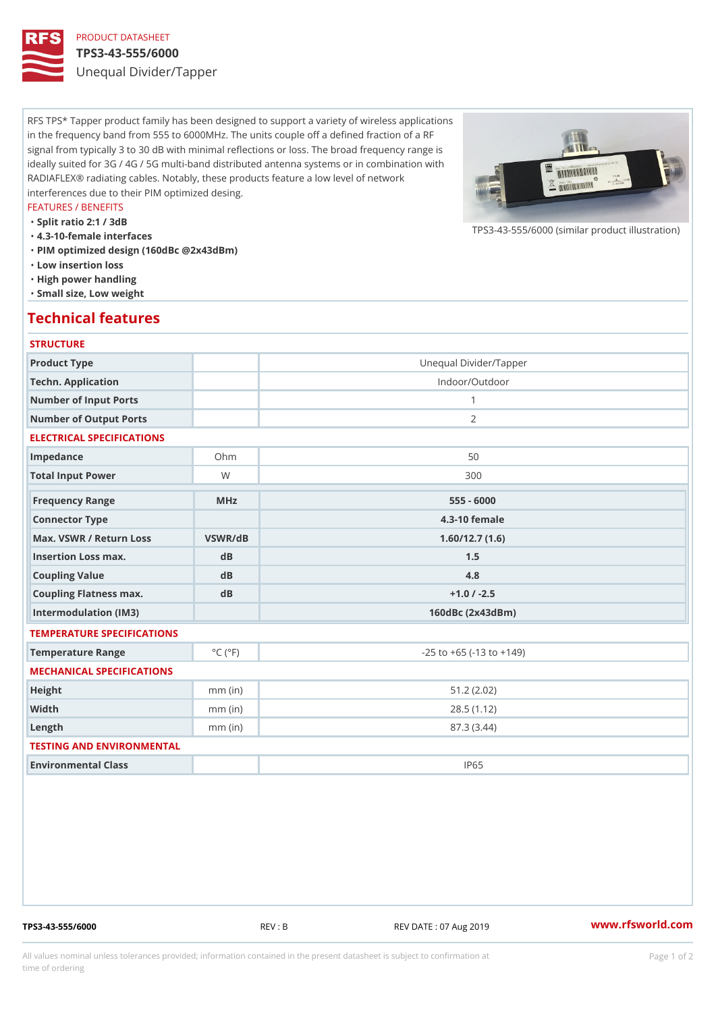# PRODUCT DATASHEET

## TPS3-43-555/6000

Unequal Divider/Tapper

RFS TPS\* Tapper product family has been designed to support a variety of wireless applications in the frequency band from 555 to 6000MHz. The units couple off a defined fraction of a RF signal from typically 3 to 30 dB with minimal reflections or loss. The broad frequency range is ideally suited for 3G / 4G / 5G multi-band distributed antenna systems or in combination with RADIAFLEX® radiating cables. Notably, these products feature a low level of network interferences due to their PIM optimized desing.

### FEATURES / BENEFITS

"Split ratio 2:1 / 3dB

- "4.3-10-female interfaces
- "PIM optimized design (160dBc @2x43dBm)
- "Low insertion loss
- "High power handling
- "Small size, Low weight

## Technical features

### **STRUCTURE**

| Product Type                                     |                             | Unequal Divider/Tapper             |
|--------------------------------------------------|-----------------------------|------------------------------------|
| Techn. Application                               |                             | Indoor/Outdoor                     |
| Number of Input Ports                            |                             | $\mathbf{1}$                       |
| Number of Output Ports                           |                             | $\overline{2}$                     |
| ELECTRICAL SPECIFICATIONS                        |                             |                                    |
| Impedance                                        | $Oh$ m                      | 50                                 |
| Total Input Power                                | W                           | 300                                |
| Frequency Range                                  | MHz                         | $555 - 6000$                       |
| Connector Type                                   |                             | $4.3 - 10$ female                  |
| Max. VSWR / Return LossVSWR/dB<br>1.60/12.7(1.6) |                             |                                    |
| Insertion Loss max.                              | $d$ B                       | 1.5                                |
| Coupling Value                                   | d B                         | 4.8                                |
| Coupling Flatness max.                           | dB                          | $+1.0 / -2.5$                      |
| Intermodulation (IM3)                            |                             | 160dBc (2x43dBm)                   |
| TEMPERATURE SPECIFICATIONS                       |                             |                                    |
| Temperature Range                                | $^{\circ}$ C ( $^{\circ}$ F | $-25$ to $+65$ ( $-13$ to $+149$ ) |
| MECHANICAL SPECIFICATIONS                        |                             |                                    |
| Height                                           | $mm$ (in)                   | 51.2(2.02)                         |
| Width                                            | $mm$ (in)                   | 28.5(1.12)                         |
| $L$ ength                                        | $mm$ (in)                   | 87.3 (3.44)                        |
| TESTING AND ENVIRONMENTAL                        |                             |                                    |
| Environmental Class                              |                             | <b>IP65</b>                        |

TPS3-43-555/6000 REV : B REV DATE : 07 Aug 2019 [www.](https://www.rfsworld.com)rfsworld.com

 $TPS3-43-555/6000$  (similar product

All values nominal unless tolerances provided; information contained in the present datasheet is subject to Pcapgeign manation time of ordering